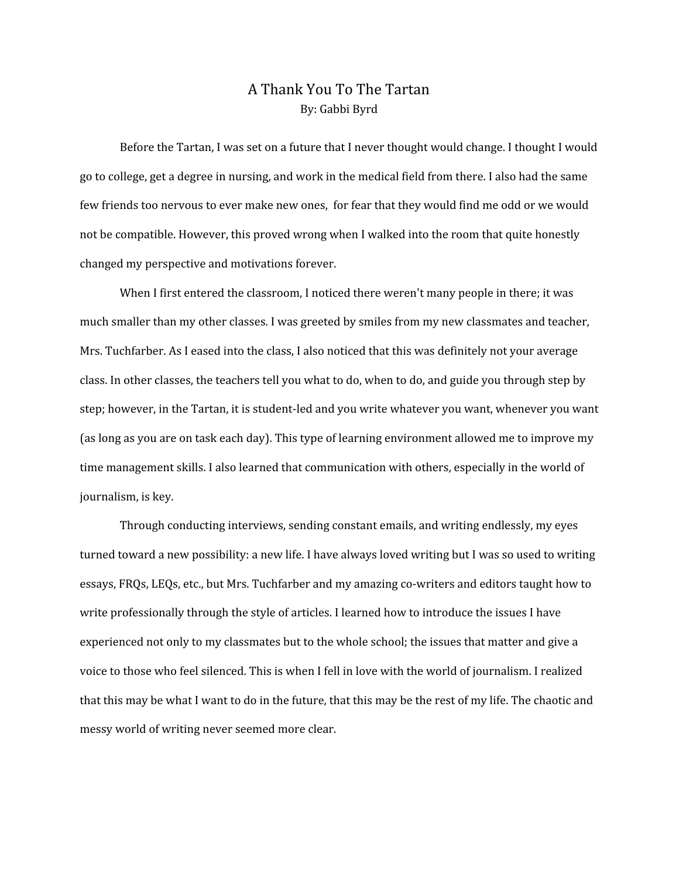## A Thank You To The Tartan By: Gabbi Byrd

Before the Tartan, I was set on a future that I never thought would change. I thought I would go to college, get a degree in nursing, and work in the medical field from there. I also had the same few friends too nervous to ever make new ones, for fear that they would find me odd or we would not be compatible. However, this proved wrong when I walked into the room that quite honestly changed my perspective and motivations forever.

When I first entered the classroom, I noticed there weren't many people in there; it was much smaller than my other classes. I was greeted by smiles from my new classmates and teacher, Mrs. Tuchfarber. As I eased into the class, I also noticed that this was definitely not your average class. In other classes, the teachers tell you what to do, when to do, and guide you through step by step; however, in the Tartan, it is student-led and you write whatever you want, whenever you want (as long as you are on task each day). This type of learning environment allowed me to improve my time management skills. I also learned that communication with others, especially in the world of journalism, is key.

Through conducting interviews, sending constant emails, and writing endlessly, my eyes turned toward a new possibility: a new life. I have always loved writing but I was so used to writing essays, FRQs, LEQs, etc., but Mrs. Tuchfarber and my amazing co-writers and editors taught how to write professionally through the style of articles. I learned how to introduce the issues I have experienced not only to my classmates but to the whole school; the issues that matter and give a voice to those who feel silenced. This is when I fell in love with the world of journalism. I realized that this may be what I want to do in the future, that this may be the rest of my life. The chaotic and messy world of writing never seemed more clear.